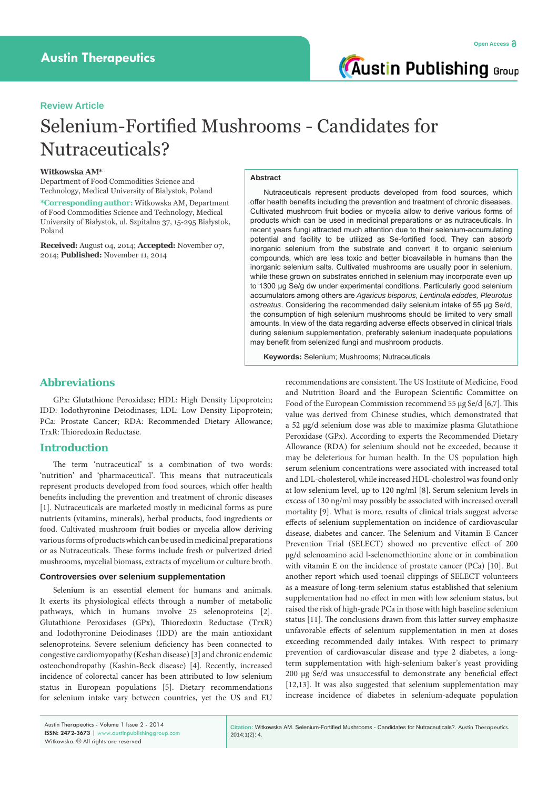# **Review Article**

# Selenium-Fortified Mushrooms - Candidates for Nutraceuticals?

## **Witkowska AM\***

Department of Food Commodities Science and Technology, Medical University of Bialystok, Poland

**\*Corresponding author:** Witkowska AM, Department of Food Commodities Science and Technology, Medical University of Białystok, ul. Szpitalna 37, 15-295 Białystok, Poland

**Received:** August 04, 2014; **Accepted:** November 07, 2014; **Published:** November 11, 2014

# **Abstract**

Nutraceuticals represent products developed from food sources, which offer health benefits including the prevention and treatment of chronic diseases. Cultivated mushroom fruit bodies or mycelia allow to derive various forms of products which can be used in medicinal preparations or as nutraceuticals. In recent years fungi attracted much attention due to their selenium-accumulating potential and facility to be utilized as Se-fortified food. They can absorb inorganic selenium from the substrate and convert it to organic selenium compounds, which are less toxic and better bioavailable in humans than the inorganic selenium salts. Cultivated mushrooms are usually poor in selenium, while these grown on substrates enriched in selenium may incorporate even up to 1300 μg Se/g dw under experimental conditions. Particularly good selenium accumulators among others are *Agaricus bisporus, Lentinula edodes, Pleurotus ostreatus*. Considering the recommended daily selenium intake of 55 μg Se/d, the consumption of high selenium mushrooms should be limited to very small amounts. In view of the data regarding adverse effects observed in clinical trials during selenium supplementation, preferably selenium inadequate populations may benefit from selenized fungi and mushroom products.

**Keywords:** Selenium; Mushrooms; Nutraceuticals

# **Abbreviations**

GPx: Glutathione Peroxidase; HDL: High Density Lipoprotein; IDD: Iodothyronine Deiodinases; LDL: Low Density Lipoprotein; PCa: Prostate Cancer; RDA: Recommended Dietary Allowance; TrxR: Thioredoxin Reductase.

# **Introduction**

The term 'nutraceutical' is a combination of two words: 'nutrition' and 'pharmaceutical'. This means that nutraceuticals represent products developed from food sources, which offer health benefits including the prevention and treatment of chronic diseases [1]. Nutraceuticals are marketed mostly in medicinal forms as pure nutrients (vitamins, minerals), herbal products, food ingredients or food. Cultivated mushroom fruit bodies or mycelia allow deriving various forms of products which can be used in medicinal preparations or as Nutraceuticals. These forms include fresh or pulverized dried mushrooms, mycelial biomass, extracts of mycelium or culture broth.

## **Controversies over selenium supplementation**

Selenium is an essential element for humans and animals. It exerts its physiological effects through a number of metabolic pathways, which in humans involve 25 selenoproteins [2]. Glutathione Peroxidases (GPx), Thioredoxin Reductase (TrxR) and Iodothyronine Deiodinases (IDD) are the main antioxidant selenoproteins. Severe selenium deficiency has been connected to congestive cardiomyopathy (Keshan disease) [3] and chronic endemic osteochondropathy (Kashin-Beck disease) [4]. Recently, increased incidence of colorectal cancer has been attributed to low selenium status in European populations [5]. Dietary recommendations for selenium intake vary between countries, yet the US and EU

recommendations are consistent. The US Institute of Medicine, Food and Nutrition Board and the European Scientific Committee on Food of the European Commission recommend 55 μg Se/d [6,7]. This value was derived from Chinese studies, which demonstrated that a 52 μg/d selenium dose was able to maximize plasma Glutathione Peroxidase (GPx). According to experts the Recommended Dietary Allowance (RDA) for selenium should not be exceeded, because it may be deleterious for human health. In the US population high serum selenium concentrations were associated with increased total and LDL-cholesterol, while increased HDL-cholestrol was found only at low selenium level, up to 120 ng/ml [8]. Serum selenium levels in excess of 130 ng/ml may possibly be associated with increased overall mortality [9]. What is more, results of clinical trials suggest adverse effects of selenium supplementation on incidence of cardiovascular disease, diabetes and cancer. The Selenium and Vitamin E Cancer Prevention Trial (SELECT) showed no preventive effect of 200 μg/d selenoamino acid l-selenomethionine alone or in combination with vitamin E on the incidence of prostate cancer (PCa) [10]. But another report which used toenail clippings of SELECT volunteers as a measure of long-term selenium status established that selenium supplementation had no effect in men with low selenium status, but raised the risk of high-grade PCa in those with high baseline selenium status [11]. The conclusions drawn from this latter survey emphasize unfavorable effects of selenium supplementation in men at doses exceeding recommended daily intakes. With respect to primary prevention of cardiovascular disease and type 2 diabetes, a longterm supplementation with high-selenium baker's yeast providing 200 μg Se/d was unsuccessful to demonstrate any beneficial effect [12,13]. It was also suggested that selenium supplementation may increase incidence of diabetes in selenium-adequate population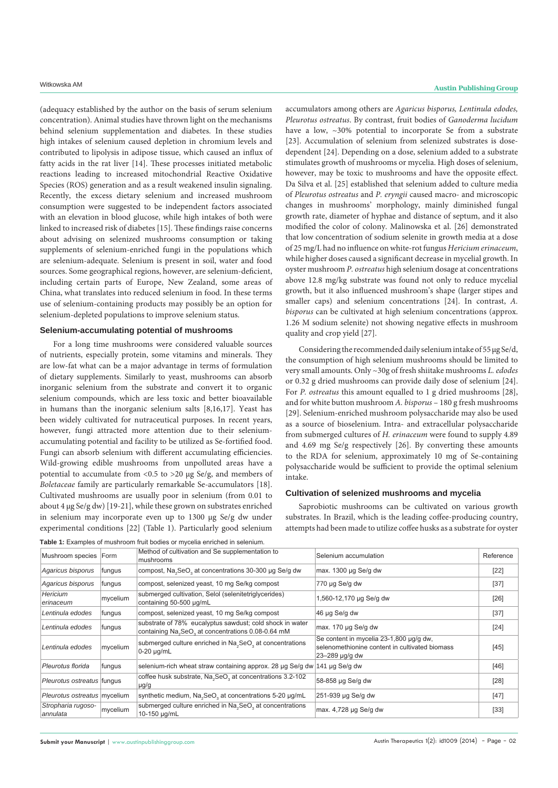(adequacy established by the author on the basis of serum selenium concentration). Animal studies have thrown light on the mechanisms behind selenium supplementation and diabetes. In these studies high intakes of selenium caused depletion in chromium levels and contributed to lipolysis in adipose tissue, which caused an influx of fatty acids in the rat liver [14]. These processes initiated metabolic reactions leading to increased mitochondrial Reactive Oxidative Species (ROS) generation and as a result weakened insulin signaling. Recently, the excess dietary selenium and increased mushroom consumption were suggested to be independent factors associated with an elevation in blood glucose, while high intakes of both were linked to increased risk of diabetes [15]. These findings raise concerns about advising on selenized mushrooms consumption or taking supplements of selenium-enriched fungi in the populations which are selenium-adequate. Selenium is present in soil, water and food sources. Some geographical regions, however, are selenium-deficient, including certain parts of Europe, New Zealand, some areas of China, what translates into reduced selenium in food. In these terms use of selenium-containing products may possibly be an option for selenium-depleted populations to improve selenium status.

#### **Selenium-accumulating potential of mushrooms**

For a long time mushrooms were considered valuable sources of nutrients, especially protein, some vitamins and minerals. They are low-fat what can be a major advantage in terms of formulation of dietary supplements. Similarly to yeast, mushrooms can absorb inorganic selenium from the substrate and convert it to organic selenium compounds, which are less toxic and better bioavailable in humans than the inorganic selenium salts [8,16,17]. Yeast has been widely cultivated for nutraceutical purposes. In recent years, however, fungi attracted more attention due to their seleniumaccumulating potential and facility to be utilized as Se-fortified food. Fungi can absorb selenium with different accumulating efficiencies. Wild-growing edible mushrooms from unpolluted areas have a potential to accumulate from <0.5 to >20 μg Se/g, and members of *Boletaceae* family are particularly remarkable Se-accumulators [18]. Cultivated mushrooms are usually poor in selenium (from 0.01 to about 4 μg Se/g dw) [19-21], while these grown on substrates enriched in selenium may incorporate even up to 1300 μg Se/g dw under experimental conditions [22] (Table 1). Particularly good selenium accumulators among others are *Agaricus bisporus, Lentinula edodes, Pleurotus ostreatus*. By contrast, fruit bodies of *Ganoderma lucidum* have a low, ~30% potential to incorporate Se from a substrate [23]. Accumulation of selenium from selenized substrates is dosedependent [24]. Depending on a dose, selenium added to a substrate stimulates growth of mushrooms or mycelia. High doses of selenium, however, may be toxic to mushrooms and have the opposite effect. Da Silva et al. [25] established that selenium added to culture media of *Pleurotus ostreatus* and *P. eryngii* caused macro- and microscopic changes in mushrooms' morphology, mainly diminished fungal growth rate, diameter of hyphae and distance of septum, and it also modified the color of colony. Malinowska et al. [26] demonstrated that low concentration of sodium selenite in growth media at a dose of 25 mg/L had no influence on white-rot fungus *Hericium erinaceum*, while higher doses caused a significant decrease in mycelial growth. In oyster mushroom *P. ostreatus* high selenium dosage at concentrations above 12.8 mg/kg substrate was found not only to reduce mycelial growth, but it also influenced mushroom's shape (larger stipes and smaller caps) and selenium concentrations [24]. In contrast, *A. bisporus* can be cultivated at high selenium concentrations (approx. 1.26 M sodium selenite) not showing negative effects in mushroom quality and crop yield [27].

Considering the recommended daily selenium intake of 55 μg Se/d, the consumption of high selenium mushrooms should be limited to very small amounts. Only ~30g of fresh shiitake mushrooms *L. edodes* or 0.32 g dried mushrooms can provide daily dose of selenium [24]. For *P. ostreatus* this amount equalled to 1 g dried mushrooms [28], and for white button mushroom *A. bisporus* – 180 g fresh mushrooms [29]. Selenium-enriched mushroom polysaccharide may also be used as a source of bioselenium. Intra- and extracellular polysaccharide from submerged cultures of *H. erinaceum* were found to supply 4.89 and 4.69 mg Se/g respectively [26]. By converting these amounts to the RDA for selenium, approximately 10 mg of Se-containing polysaccharide would be sufficient to provide the optimal selenium intake.

#### **Cultivation of selenized mushrooms and mycelia**

Saprobiotic mushrooms can be cultivated on various growth substrates. In Brazil, which is the leading coffee-producing country, attempts had been made to utilize coffee husks as a substrate for oyster

| Mushroom species Form          |          | Method of cultivation and Se supplementation to<br>mushrooms                                                                           | Selenium accumulation                                                                                       | Reference |
|--------------------------------|----------|----------------------------------------------------------------------------------------------------------------------------------------|-------------------------------------------------------------------------------------------------------------|-----------|
| Agaricus bisporus              | fungus   | compost, Na <sub>2</sub> SeO <sub>2</sub> at concentrations 30-300 µg Se/g dw                                                          | max. $1300 \mu q$ Se/g dw                                                                                   | $[22]$    |
| Agaricus bisporus              | fungus   | compost, selenized yeast, 10 mg Se/kg compost                                                                                          | 770 µg Se/g dw                                                                                              | $[37]$    |
| <b>Hericium</b><br>erinaceum   | mycelium | submerged cultivation, Selol (selenitetriglycerides)<br>containing 50-500 µg/mL                                                        | 1,560-12,170 µg Se/g dw                                                                                     | $[26]$    |
| Lentinula edodes               | fungus   | compost, selenized yeast, 10 mg Se/kg compost                                                                                          | 46 µg Se/g dw                                                                                               | $[37]$    |
| Lentinula edodes               | fungus   | substrate of 78% eucalyptus sawdust; cold shock in water<br>containing Na <sub>2</sub> SeO <sub>3</sub> at concentrations 0.08-0.64 mM | max. 170 µg Se/g dw                                                                                         | $[24]$    |
| Lentinula edodes               | mycelium | submerged culture enriched in Na <sub>3</sub> SeO <sub>3</sub> at concentrations<br>$0-20 \mu q/mL$                                    | Se content in mycelia 23-1,800 µq/q dw,<br>selenomethionine content in cultivated biomass<br>23-289 µg/g dw | $[45]$    |
| Pleurotus florida              | fungus   | selenium-rich wheat straw containing approx. 28 µg Se/g dw                                                                             | 141 µg Se/g dw                                                                                              | $[46]$    |
| Pleurotus ostreatus fungus     |          | coffee husk substrate, Na <sub>3</sub> SeO <sub>3</sub> at concentrations 3.2-102<br>µg/g                                              | 58-858 µg Se/g dw                                                                                           | $[28]$    |
| Pleurotus ostreatus mycelium   |          | synthetic medium, Na <sub>2</sub> SeO <sub>2</sub> at concentrations 5-20 µg/mL                                                        | 251-939 µg Se/g dw                                                                                          | $[47]$    |
| Stropharia rugoso-<br>annulata | mycelium | submerged culture enriched in Na <sub>3</sub> SeO <sub>3</sub> at concentrations<br>10-150 µg/mL                                       | max. 4,728 µg Se/g dw                                                                                       | $[33]$    |

**Table 1:** Examples of mushroom fruit bodies or mycelia enriched in selenium.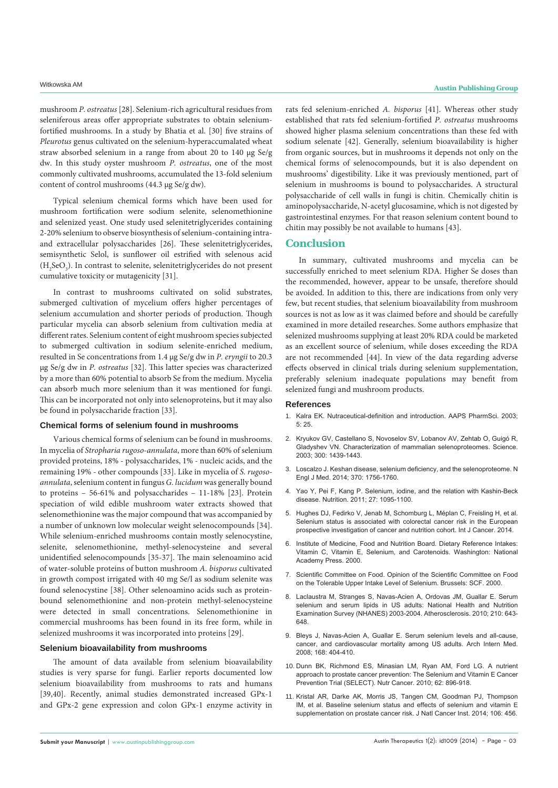mushroom *P. ostreatus* [28]. Selenium-rich agricultural residues from seleniferous areas offer appropriate substrates to obtain seleniumfortified mushrooms. In a study by Bhatia et al. [30] five strains of *Pleurotus* genus cultivated on the selenium-hyperaccumalated wheat straw absorbed selenium in a range from about 20 to 140 μg Se/g dw. In this study oyster mushroom *P. ostreatus*, one of the most commonly cultivated mushrooms, accumulated the 13-fold selenium content of control mushrooms (44.3 μg Se/g dw).

Typical selenium chemical forms which have been used for mushroom fortification were sodium selenite, selenomethionine and selenized yeast. One study used selenitetriglycerides containing 2-20% selenium to observe biosynthesis of selenium-containing intraand extracellular polysaccharides [26]. These selenitetriglycerides, semisynthetic Selol, is sunflower oil estrified with selenous acid  $(H<sub>2</sub>SeO<sub>3</sub>)$ . In contrast to selenite, selenitetriglycerides do not present cumulative toxicity or mutagenicity [31].

In contrast to mushrooms cultivated on solid substrates, submerged cultivation of mycelium offers higher percentages of selenium accumulation and shorter periods of production. Though particular mycelia can absorb selenium from cultivation media at different rates. Selenium content of eight mushroom species subjected to submerged cultivation in sodium selenite-enriched medium, resulted in Se concentrations from 1.4 μg Se/g dw in *P. eryngii* to 20.3 μg Se/g dw in *P. ostreatus* [32]. This latter species was characterized by a more than 60% potential to absorb Se from the medium. Mycelia can absorb much more selenium than it was mentioned for fungi. This can be incorporated not only into selenoproteins, but it may also be found in polysaccharide fraction [33].

## **Chemical forms of selenium found in mushrooms**

Various chemical forms of selenium can be found in mushrooms. In mycelia of *Stropharia rugoso-annulata*, more than 60% of selenium provided proteins, 18% - polysaccharides, 1% - nucleic acids, and the remaining 19% - other compounds [33]. Like in mycelia of *S. rugosoannulata*, selenium content in fungus *G. lucidum* was generally bound to proteins – 56-61% and polysaccharides – 11-18% [23]. Protein speciation of wild edible mushroom water extracts showed that selenomethionine was the major compound that was accompanied by a number of unknown low molecular weight selenocompounds [34]. While selenium-enriched mushrooms contain mostly selenocystine, selenite, selenomethionine, methyl-selenocysteine and several unidentified selenocompounds [35-37]. The main selenoamino acid of water-soluble proteins of button mushroom *A. bisporus* cultivated in growth compost irrigated with 40 mg Se/l as sodium selenite was found selenocystine [38]. Other selenoamino acids such as proteinbound selenomethionine and non-protein methyl-selenocysteine were detected in small concentrations. Selenomethionine in commercial mushrooms has been found in its free form, while in selenized mushrooms it was incorporated into proteins [29].

# **Selenium bioavailability from mushrooms**

The amount of data available from selenium bioavailability studies is very sparse for fungi. Earlier reports documented low selenium bioavailability from mushrooms to rats and humans [39,40]. Recently, animal studies demonstrated increased GPx-1 and GPx-2 gene expression and colon GPx-1 enzyme activity in rats fed selenium-enriched *A. bisporus* [41]. Whereas other study established that rats fed selenium-fortified *P. ostreatus* mushrooms showed higher plasma selenium concentrations than these fed with sodium selenate [42]. Generally, selenium bioavailability is higher from organic sources, but in mushrooms it depends not only on the chemical forms of selenocompounds, but it is also dependent on mushrooms' digestibility. Like it was previously mentioned, part of selenium in mushrooms is bound to polysaccharides. A structural polysaccharide of cell walls in fungi is chitin. Chemically chitin is aminopolysaccharide, N-acetyl glucosamine, which is not digested by gastrointestinal enzymes. For that reason selenium content bound to chitin may possibly be not available to humans [43].

# **Conclusion**

In summary, cultivated mushrooms and mycelia can be successfully enriched to meet selenium RDA. Higher Se doses than the recommended, however, appear to be unsafe, therefore should be avoided. In addition to this, there are indications from only very few, but recent studies, that selenium bioavailability from mushroom sources is not as low as it was claimed before and should be carefully examined in more detailed researches. Some authors emphasize that selenized mushrooms supplying at least 20% RDA could be marketed as an excellent source of selenium, while doses exceeding the RDA are not recommended [44]. In view of the data regarding adverse effects observed in clinical trials during selenium supplementation, preferably selenium inadequate populations may benefit from selenized fungi and mushroom products.

## **References**

- 1. [Kalra EK. Nutraceutical-definition and introduction. AAPS PharmSci. 2003;](http://www.ncbi.nlm.nih.gov/pubmed/14621960)  [5: 25.](http://www.ncbi.nlm.nih.gov/pubmed/14621960)
- 2. [Kryukov GV, Castellano S, Novoselov SV, Lobanov AV, Zehtab O, Guigó R,](http://www.ncbi.nlm.nih.gov/pubmed/12775843)  [Gladyshev VN. Characterization of mammalian selenoproteomes. Science.](http://www.ncbi.nlm.nih.gov/pubmed/12775843)  [2003; 300: 1439-1443.](http://www.ncbi.nlm.nih.gov/pubmed/12775843)
- 3. [Loscalzo J. Keshan disease, selenium deficiency, and the selenoproteome. N](http://www.ncbi.nlm.nih.gov/pubmed/24785212)  [Engl J Med. 2014; 370: 1756-1760.](http://www.ncbi.nlm.nih.gov/pubmed/24785212)
- 4. [Yao Y, Pei F, Kang P. Selenium, iodine, and the relation with Kashin-Beck](http://www.ncbi.nlm.nih.gov/pubmed/21967994)  [disease. Nutrition. 2011; 27: 1095-1100.](http://www.ncbi.nlm.nih.gov/pubmed/21967994)
- 5. [Hughes DJ, Fedirko V, Jenab M, Schomburg L, Méplan C, Freisling H, et al.](http://www.ncbi.nlm.nih.gov/pubmed/25042282)  [Selenium status is associated with colorectal cancer risk in the European](http://www.ncbi.nlm.nih.gov/pubmed/25042282)  [prospective investigation of cancer and nutrition cohort. Int J Cancer. 2014.](http://www.ncbi.nlm.nih.gov/pubmed/25042282)
- 6. [Institute of Medicine, Food and Nutrition Board. Dietary Reference Intakes:](http://www.nap.edu/openbook.php?record_id=9810)  [Vitamin C, Vitamin E, Selenium, and Carotenoids. Washington: National](http://www.nap.edu/openbook.php?record_id=9810)  [Academy Press. 2000](http://www.nap.edu/openbook.php?record_id=9810).
- 7. [Scientific Committee on Food. Opinion of the Scientific Committee on Food](http://ec.europa.eu/food/fs/sc/scf/out80g_en.pdf)  [on the Tolerable Upper Intake Level of Selenium. Brussels: SCF. 2000](http://ec.europa.eu/food/fs/sc/scf/out80g_en.pdf).
- 8. [Laclaustra M, Stranges S, Navas-Acien A, Ordovas JM, Guallar E. Serum](http://www.ncbi.nlm.nih.gov/pubmed/20102763)  [selenium and serum lipids in US adults: National Health and Nutrition](http://www.ncbi.nlm.nih.gov/pubmed/20102763)  [Examination Survey \(NHANES\) 2003-2004. Atherosclerosis. 2010; 210: 643-](http://www.ncbi.nlm.nih.gov/pubmed/20102763) [648.](http://www.ncbi.nlm.nih.gov/pubmed/20102763)
- 9. [Bleys J, Navas-Acien A, Guallar E. Serum selenium levels and all-cause,](http://www.ncbi.nlm.nih.gov/pubmed/18299496)  [cancer, and cardiovascular mortality among US adults. Arch Intern Med.](http://www.ncbi.nlm.nih.gov/pubmed/18299496)  [2008; 168: 404-410.](http://www.ncbi.nlm.nih.gov/pubmed/18299496)
- 10. [Dunn BK, Richmond ES, Minasian LM, Ryan AM, Ford LG. A nutrient](http://www.ncbi.nlm.nih.gov/pubmed/20924966)  [approach to prostate cancer prevention: The Selenium and Vitamin E Cancer](http://www.ncbi.nlm.nih.gov/pubmed/20924966)  [Prevention Trial \(SELECT\). Nutr Cancer. 2010; 62: 896-918.](http://www.ncbi.nlm.nih.gov/pubmed/20924966)
- 11. [Kristal AR, Darke AK, Morris JS, Tangen CM, Goodman PJ, Thompson](http://www.ncbi.nlm.nih.gov/pubmed/24563519)  [IM, et al. Baseline selenium status and effects of selenium and vitamin](http://www.ncbi.nlm.nih.gov/pubmed/24563519) E [supplementation on prostate cancer risk. J Natl Cancer Inst. 2014; 106: 456.](http://www.ncbi.nlm.nih.gov/pubmed/24563519)